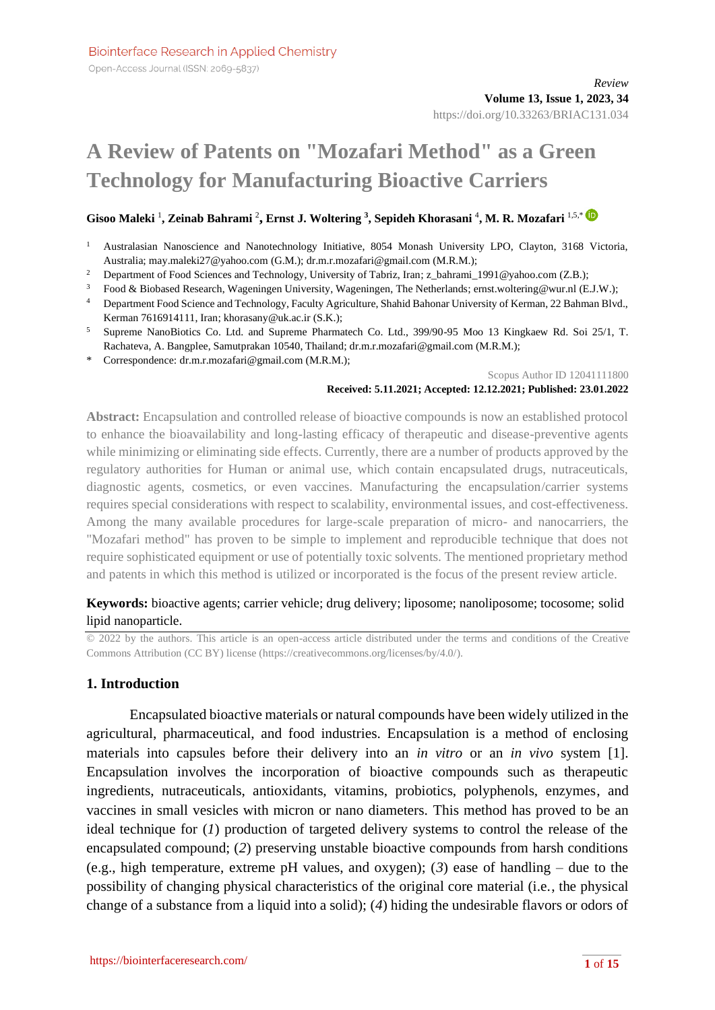# **A Review of Patents on "Mozafari Method" as a Green Technology for Manufacturing Bioactive Carriers**

#### **Gisoo Maleki** <sup>1</sup> **, Zeinab Bahrami** <sup>2</sup> **, Ernst J. Woltering <sup>3</sup> , Sepideh Khorasani** <sup>4</sup> **, M. R. Mozafari** 1,5,\*

- <sup>1</sup> Australasian Nanoscience and Nanotechnology Initiative, 8054 Monash University LPO, Clayton, 3168 Victoria, Australia; may.maleki27@yahoo.com (G.M.); dr.m.r.mozafari@gmail.com (M.R.M.);
- <sup>2</sup> Department of Food Sciences and Technology, University of Tabriz, Iran; z\_bahrami\_1991@yahoo.com (Z.B.);
- <sup>3</sup> Food & Biobased Research, Wageningen University, Wageningen, The Netherlands; ernst.woltering@wur.nl (E.J.W.);
- <sup>4</sup> Department Food Science and Technology, Faculty Agriculture, Shahid Bahonar University of Kerman, 22 Bahman Blvd., Kerman 7616914111, Iran; khorasany@uk.ac.ir (S.K.);
- <sup>5</sup> Supreme NanoBiotics Co. Ltd. and Supreme Pharmatech Co. Ltd., 399/90-95 Moo 13 Kingkaew Rd. Soi 25/1, T. Rachateva, A. Bangplee, Samutprakan 10540, Thailand; dr.m.r.mozafari@gmail.com (M.R.M.);
- \* Correspondence: dr.m.r.mozafari@gmail.com (M.R.M.);

Scopus Author ID 12041111800

#### **Received: 5.11.2021; Accepted: 12.12.2021; Published: 23.01.2022**

**Abstract:** Encapsulation and controlled release of bioactive compounds is now an established protocol to enhance the bioavailability and long-lasting efficacy of therapeutic and disease-preventive agents while minimizing or eliminating side effects. Currently, there are a number of products approved by the regulatory authorities for Human or animal use, which contain encapsulated drugs, nutraceuticals, diagnostic agents, cosmetics, or even vaccines. Manufacturing the encapsulation/carrier systems requires special considerations with respect to scalability, environmental issues, and cost-effectiveness. Among the many available procedures for large-scale preparation of micro- and nanocarriers, the "Mozafari method" has proven to be simple to implement and reproducible technique that does not require sophisticated equipment or use of potentially toxic solvents. The mentioned proprietary method and patents in which this method is utilized or incorporated is the focus of the present review article.

## **Keywords:** bioactive agents; carrier vehicle; drug delivery; liposome; nanoliposome; tocosome; solid lipid nanoparticle.

© 2022 by the authors. This article is an open-access article distributed under the terms and conditions of the Creative Commons Attribution (CC BY) license [\(https://creativecommons.org/licenses/by/4.0/\)](https://creativecommons.org/licenses/by/4.0/).

## **1. Introduction**

Encapsulated bioactive materials or natural compounds have been widely utilized in the agricultural, pharmaceutical, and food industries. Encapsulation is a method of enclosing materials into capsules before their delivery into an *in vitro* or an *in vivo* system [1]. Encapsulation involves the incorporation of bioactive compounds such as therapeutic ingredients, nutraceuticals, antioxidants, vitamins, probiotics, polyphenols, enzymes, and vaccines in small vesicles with micron or nano diameters. This method has proved to be an ideal technique for (*1*) production of targeted delivery systems to control the release of the encapsulated compound; (*2*) preserving unstable bioactive compounds from harsh conditions (e.g., high temperature, extreme pH values, and oxygen); (*3*) ease of handling – due to the possibility of changing physical characteristics of the original core material (i.e., the physical change of a substance from a liquid into a solid); (*4*) hiding the undesirable flavors or odors of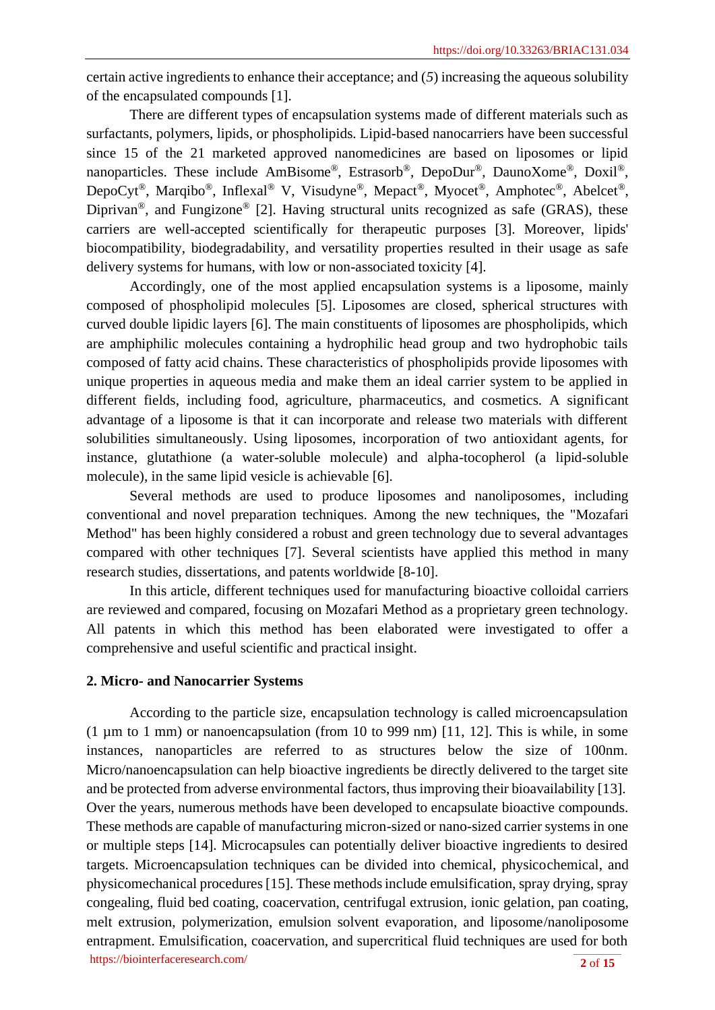certain active ingredients to enhance their acceptance; and (*5*) increasing the aqueous solubility of the encapsulated compounds [1].

There are different types of encapsulation systems made of different materials such as surfactants, polymers, lipids, or phospholipids. Lipid-based nanocarriers have been successful since 15 of the 21 marketed approved nanomedicines are based on liposomes or lipid nanoparticles. These include AmBisome®, Estrasorb®, DepoDur®, DaunoXome®, Doxil®, DepoCyt®, Marqibo®, Inflexal® V, Visudyne®, Mepact®, Myocet®, Amphotec®, Abelcet®, Diprivan<sup>®</sup>, and Fungizone<sup>®</sup> [2]. Having structural units recognized as safe (GRAS), these carriers are well-accepted scientifically for therapeutic purposes [3]. Moreover, lipids' biocompatibility, biodegradability, and versatility properties resulted in their usage as safe delivery systems for humans, with low or non-associated toxicity [4].

Accordingly, one of the most applied encapsulation systems is a liposome, mainly composed of phospholipid molecules [5]. Liposomes are closed, spherical structures with curved double lipidic layers [6]. The main constituents of liposomes are phospholipids, which are amphiphilic molecules containing a hydrophilic head group and two hydrophobic tails composed of fatty acid chains. These characteristics of phospholipids provide liposomes with unique properties in aqueous media and make them an ideal carrier system to be applied in different fields, including food, agriculture, pharmaceutics, and cosmetics. A significant advantage of a liposome is that it can incorporate and release two materials with different solubilities simultaneously. Using liposomes, incorporation of two antioxidant agents, for instance, glutathione (a water-soluble molecule) and alpha-tocopherol (a lipid-soluble molecule), in the same lipid vesicle is achievable [6].

Several methods are used to produce liposomes and nanoliposomes, including conventional and novel preparation techniques. Among the new techniques, the "Mozafari Method" has been highly considered a robust and green technology due to several advantages compared with other techniques [7]. Several scientists have applied this method in many research studies, dissertations, and patents worldwide [8-10].

In this article, different techniques used for manufacturing bioactive colloidal carriers are reviewed and compared, focusing on Mozafari Method as a proprietary green technology. All patents in which this method has been elaborated were investigated to offer a comprehensive and useful scientific and practical insight.

#### **2. Micro- and Nanocarrier Systems**

<https://biointerfaceresearch.com/> **2** of **15** According to the particle size, encapsulation technology is called microencapsulation  $(1 \mu m$  to 1 mm) or nanoencapsulation (from 10 to 999 nm) [11, 12]. This is while, in some instances, nanoparticles are referred to as structures below the size of 100nm. Micro/nanoencapsulation can help bioactive ingredients be directly delivered to the target site and be protected from adverse environmental factors, thus improving their bioavailability [13]. Over the years, numerous methods have been developed to encapsulate bioactive compounds. These methods are capable of manufacturing micron-sized or nano-sized carrier systems in one or multiple steps [14]. Microcapsules can potentially deliver bioactive ingredients to desired targets. Microencapsulation techniques can be divided into chemical, physicochemical, and physicomechanical procedures [15]. These methods include emulsification, spray drying, spray congealing, fluid bed coating, coacervation, centrifugal extrusion, ionic gelation, pan coating, melt extrusion, polymerization, emulsion solvent evaporation, and liposome/nanoliposome entrapment. Emulsification, coacervation, and supercritical fluid techniques are used for both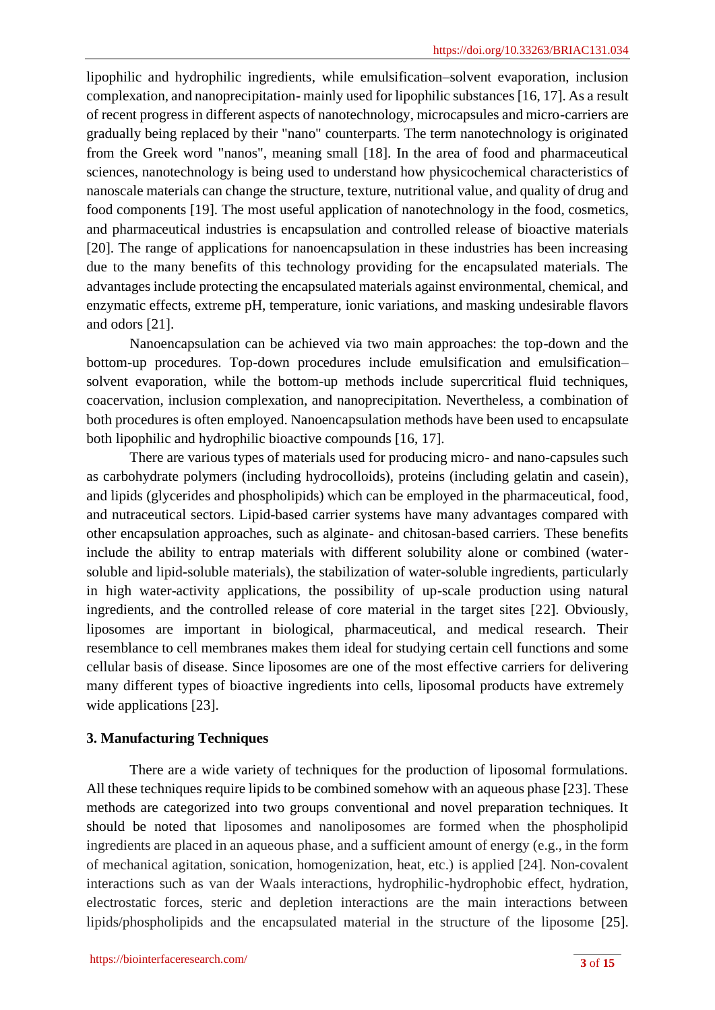lipophilic and hydrophilic ingredients, while emulsification–solvent evaporation, inclusion complexation, and nanoprecipitation- mainly used for lipophilic substances [16, 17]. As a result of recent progress in different aspects of nanotechnology, microcapsules and micro-carriers are gradually being replaced by their "nano" counterparts. The term nanotechnology is originated from the Greek word "nanos", meaning small [18]. In the area of food and pharmaceutical sciences, nanotechnology is being used to understand how physicochemical characteristics of nanoscale materials can change the structure, texture, nutritional value, and quality of drug and food components [19]. The most useful application of nanotechnology in the food, cosmetics, and pharmaceutical industries is encapsulation and controlled release of bioactive materials [20]. The range of applications for nanoencapsulation in these industries has been increasing due to the many benefits of this technology providing for the encapsulated materials. The advantages include protecting the encapsulated materials against environmental, chemical, and enzymatic effects, extreme pH, temperature, ionic variations, and masking undesirable flavors and odors [21].

Nanoencapsulation can be achieved via two main approaches: the top-down and the bottom-up procedures. Top-down procedures include emulsification and emulsification– solvent evaporation, while the bottom-up methods include supercritical fluid techniques, coacervation, inclusion complexation, and nanoprecipitation. Nevertheless, a combination of both procedures is often employed. Nanoencapsulation methods have been used to encapsulate both lipophilic and hydrophilic bioactive compounds [16, 17].

There are various types of materials used for producing micro- and nano-capsules such as carbohydrate polymers (including hydrocolloids), proteins (including gelatin and casein), and lipids (glycerides and phospholipids) which can be employed in the pharmaceutical, food, and nutraceutical sectors. Lipid-based carrier systems have many advantages compared with other encapsulation approaches, such as alginate- and chitosan-based carriers. These benefits include the ability to entrap materials with different solubility alone or combined (watersoluble and lipid-soluble materials), the stabilization of water-soluble ingredients, particularly in high water-activity applications, the possibility of up-scale production using natural ingredients, and the controlled release of core material in the target sites [22]. Obviously, liposomes are important in biological, pharmaceutical, and medical research. Their resemblance to cell membranes makes them ideal for studying certain cell functions and some cellular basis of disease. Since liposomes are one of the most effective carriers for delivering many different types of bioactive ingredients into cells, liposomal products have extremely wide applications [23].

# **3. Manufacturing Techniques**

There are a wide variety of techniques for the production of liposomal formulations. All these techniques require lipids to be combined somehow with an aqueous phase [23]. These methods are categorized into two groups conventional and novel preparation techniques. It should be noted that liposomes and nanoliposomes are formed when the phospholipid ingredients are placed in an aqueous phase, and a sufficient amount of energy (e.g., in the form of mechanical agitation, sonication, homogenization, heat, etc.) is applied [24]. Non-covalent interactions such as van der Waals interactions, hydrophilic-hydrophobic effect, hydration, electrostatic forces, steric and depletion interactions are the main interactions between lipids/phospholipids and the encapsulated material in the structure of the liposome [25].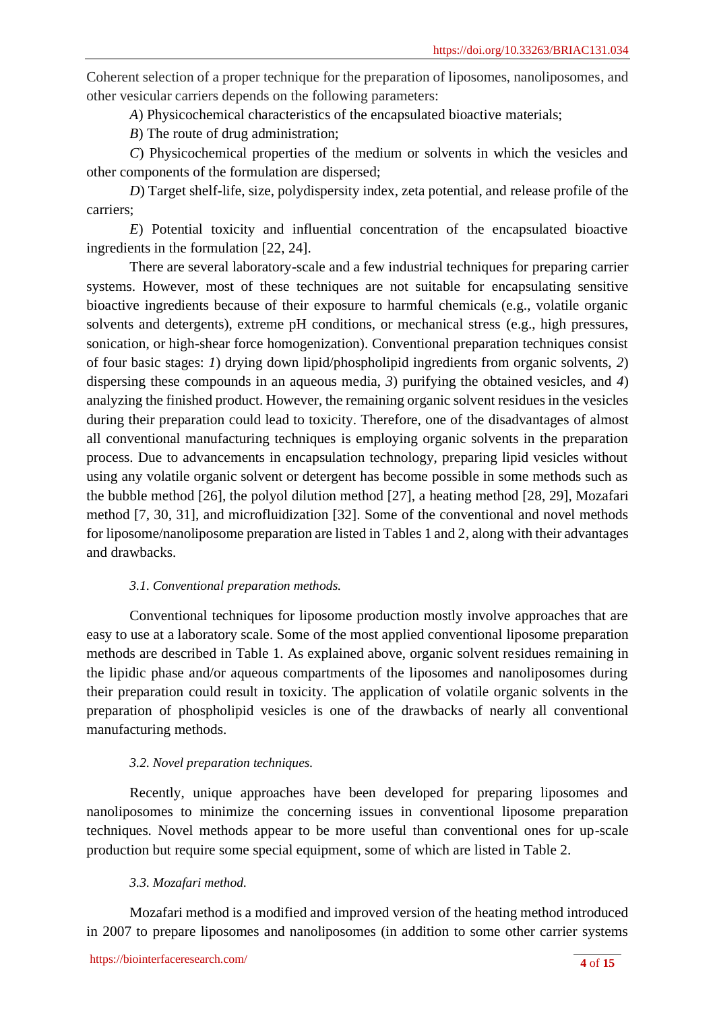Coherent selection of a proper technique for the preparation of liposomes, nanoliposomes, and other vesicular carriers depends on the following parameters:

*A*) Physicochemical characteristics of the encapsulated bioactive materials;

*B*) The route of drug administration;

*C*) Physicochemical properties of the medium or solvents in which the vesicles and other components of the formulation are dispersed;

*D*) Target shelf-life, size, polydispersity index, zeta potential, and release profile of the carriers;

*E*) Potential toxicity and influential concentration of the encapsulated bioactive ingredients in the formulation [22, 24].

There are several laboratory-scale and a few industrial techniques for preparing carrier systems. However, most of these techniques are not suitable for encapsulating sensitive bioactive ingredients because of their exposure to harmful chemicals (e.g., volatile organic solvents and detergents), extreme pH conditions, or mechanical stress (e.g., high pressures, sonication, or high-shear force homogenization). Conventional preparation techniques consist of four basic stages: *1*) drying down lipid/phospholipid ingredients from organic solvents, *2*) dispersing these compounds in an aqueous media, *3*) purifying the obtained vesicles, and *4*) analyzing the finished product. However, the remaining organic solvent residues in the vesicles during their preparation could lead to toxicity. Therefore, one of the disadvantages of almost all conventional manufacturing techniques is employing organic solvents in the preparation process. Due to advancements in encapsulation technology, preparing lipid vesicles without using any volatile organic solvent or detergent has become possible in some methods such as the bubble method [26], the polyol dilution method [27], a heating method [28, 29], Mozafari method [7, 30, 31], and microfluidization [32]. Some of the conventional and novel methods for liposome/nanoliposome preparation are listed in Tables 1 and 2, along with their advantages and drawbacks.

## *3.1. Conventional preparation methods.*

Conventional techniques for liposome production mostly involve approaches that are easy to use at a laboratory scale. Some of the most applied conventional liposome preparation methods are described in Table 1. As explained above, organic solvent residues remaining in the lipidic phase and/or aqueous compartments of the liposomes and nanoliposomes during their preparation could result in toxicity. The application of volatile organic solvents in the preparation of phospholipid vesicles is one of the drawbacks of nearly all conventional manufacturing methods.

## *3.2. Novel preparation techniques.*

Recently, unique approaches have been developed for preparing liposomes and nanoliposomes to minimize the concerning issues in conventional liposome preparation techniques. Novel methods appear to be more useful than conventional ones for up-scale production but require some special equipment, some of which are listed in Table 2.

## *3.3. Mozafari method.*

Mozafari method is a modified and improved version of the heating method introduced in 2007 to prepare liposomes and nanoliposomes (in addition to some other carrier systems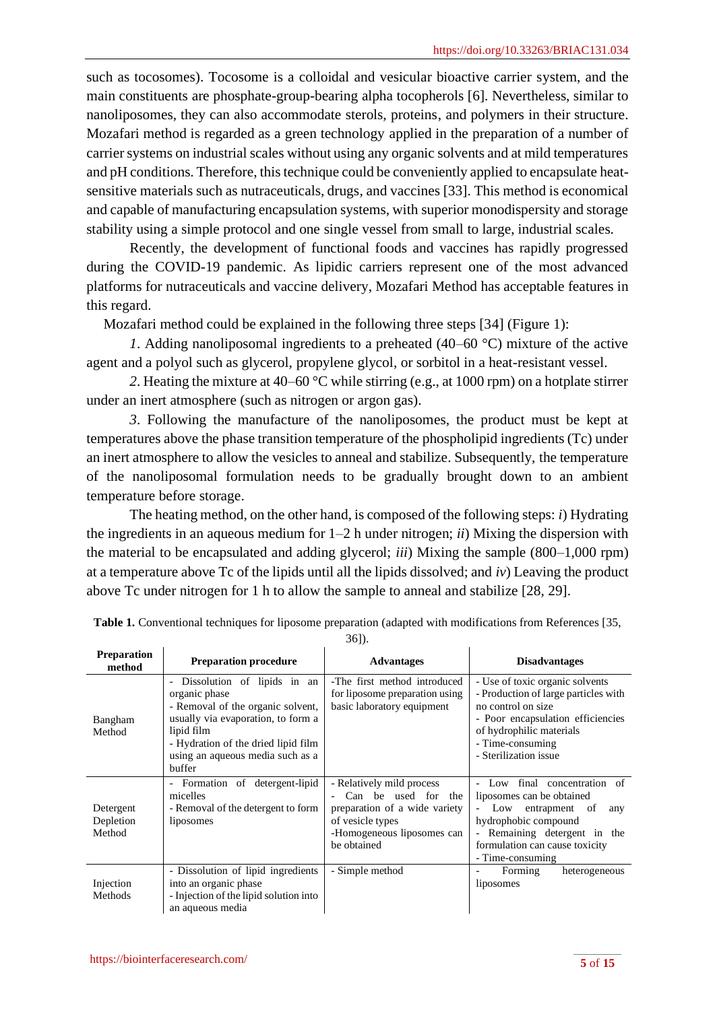such as tocosomes). Tocosome is a colloidal and vesicular bioactive carrier system, and the main constituents are phosphate-group-bearing alpha tocopherols [6]. Nevertheless, similar to nanoliposomes, they can also accommodate sterols, proteins, and polymers in their structure. Mozafari method is regarded as a green technology applied in the preparation of a number of carrier systems on industrial scales without using any organic solvents and at mild temperatures and pH conditions. Therefore, this technique could be conveniently applied to encapsulate heatsensitive materials such as nutraceuticals, drugs, and vaccines [33]. This method is economical and capable of manufacturing encapsulation systems, with superior monodispersity and storage stability using a simple protocol and one single vessel from small to large, industrial scales.

Recently, the development of functional foods and vaccines has rapidly progressed during the COVID-19 pandemic. As lipidic carriers represent one of the most advanced platforms for nutraceuticals and vaccine delivery, Mozafari Method has acceptable features in this regard.

Mozafari method could be explained in the following three steps [34] (Figure 1):

*1*. Adding nanoliposomal ingredients to a preheated (40–60 °C) mixture of the active agent and a polyol such as glycerol, propylene glycol, or sorbitol in a heat-resistant vessel.

*2*. Heating the mixture at 40–60 °C while stirring (e.g., at 1000 rpm) on a hotplate stirrer under an inert atmosphere (such as nitrogen or argon gas).

*3*. Following the manufacture of the nanoliposomes, the product must be kept at temperatures above the phase transition temperature of the phospholipid ingredients (Tc) under an inert atmosphere to allow the vesicles to anneal and stabilize. Subsequently, the temperature of the nanoliposomal formulation needs to be gradually brought down to an ambient temperature before storage.

The heating method, on the other hand, is composed of the following steps: *i*) Hydrating the ingredients in an aqueous medium for 1–2 h under nitrogen; *ii*) Mixing the dispersion with the material to be encapsulated and adding glycerol; *iii*) Mixing the sample (800–1,000 rpm) at a temperature above Tc of the lipids until all the lipids dissolved; and *iv*) Leaving the product above Tc under nitrogen for 1 h to allow the sample to anneal and stabilize [28, 29].

| <b>Preparation</b><br>method     | <b>Preparation procedure</b>                                                                                                                                                                                                                           | <b>Advantages</b>                                                                                                                                  | <b>Disadvantages</b>                                                                                                                                                                                                                 |
|----------------------------------|--------------------------------------------------------------------------------------------------------------------------------------------------------------------------------------------------------------------------------------------------------|----------------------------------------------------------------------------------------------------------------------------------------------------|--------------------------------------------------------------------------------------------------------------------------------------------------------------------------------------------------------------------------------------|
| Bangham<br>Method                | Dissolution of lipids in an<br>$\overline{\phantom{a}}$<br>organic phase<br>- Removal of the organic solvent,<br>usually via evaporation, to form a<br>lipid film<br>- Hydration of the dried lipid film<br>using an aqueous media such as a<br>buffer | -The first method introduced<br>for liposome preparation using<br>basic laboratory equipment                                                       | - Use of toxic organic solvents<br>- Production of large particles with<br>no control on size<br>- Poor encapsulation efficiencies<br>of hydrophilic materials<br>- Time-consuming<br>- Sterilization issue                          |
| Detergent<br>Depletion<br>Method | Formation of detergent-lipid<br>$\overline{\phantom{a}}$<br>micelles<br>- Removal of the detergent to form<br>liposomes                                                                                                                                | - Relatively mild process<br>Can be used for the<br>preparation of a wide variety<br>of vesicle types<br>-Homogeneous liposomes can<br>be obtained | final concentration of<br>Low<br>liposomes can be obtained<br>Low<br>entrapment<br>of<br>any<br>hydrophobic compound<br>Remaining detergent in the<br>$\overline{\phantom{a}}$<br>formulation can cause toxicity<br>- Time-consuming |
| Injection<br>Methods             | - Dissolution of lipid ingredients<br>into an organic phase<br>- Injection of the lipid solution into<br>an aqueous media                                                                                                                              | - Simple method                                                                                                                                    | Forming<br>heterogeneous<br>liposomes                                                                                                                                                                                                |

**Table 1.** Conventional techniques for liposome preparation (adapted with modifications from References [35,

36]).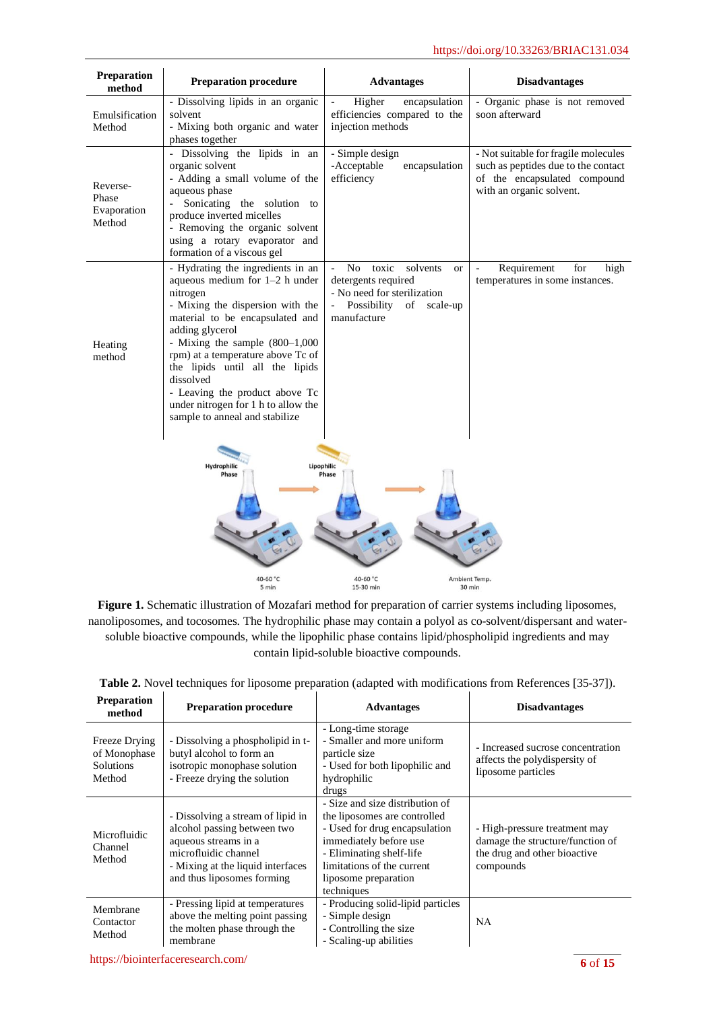| Preparation<br>method                      | <b>Preparation procedure</b>                                                                                                                                                                                                                                                                                                                                                                                   | <b>Advantages</b>                                                                                                                                                      | <b>Disadvantages</b>                                                                                                                    |
|--------------------------------------------|----------------------------------------------------------------------------------------------------------------------------------------------------------------------------------------------------------------------------------------------------------------------------------------------------------------------------------------------------------------------------------------------------------------|------------------------------------------------------------------------------------------------------------------------------------------------------------------------|-----------------------------------------------------------------------------------------------------------------------------------------|
| Emulsification<br>Method                   | - Dissolving lipids in an organic<br>solvent<br>- Mixing both organic and water<br>phases together                                                                                                                                                                                                                                                                                                             | Higher<br>encapsulation<br>efficiencies compared to the<br>injection methods                                                                                           | - Organic phase is not removed<br>soon afterward                                                                                        |
| Reverse-<br>Phase<br>Evaporation<br>Method | - Dissolving the lipids in an<br>organic solvent<br>- Adding a small volume of the<br>aqueous phase<br>Sonicating the solution to<br>$\omega_{\rm{eff}}$<br>produce inverted micelles<br>- Removing the organic solvent<br>using a rotary evaporator and<br>formation of a viscous gel                                                                                                                         | - Simple design<br>-Acceptable<br>encapsulation<br>efficiency                                                                                                          | - Not suitable for fragile molecules<br>such as peptides due to the contact<br>of the encapsulated compound<br>with an organic solvent. |
| Heating<br>method                          | - Hydrating the ingredients in an<br>aqueous medium for 1-2 h under<br>nitrogen<br>- Mixing the dispersion with the<br>material to be encapsulated and<br>adding glycerol<br>- Mixing the sample $(800-1,000)$<br>rpm) at a temperature above Tc of<br>the lipids until all the lipids<br>dissolved<br>- Leaving the product above Tc<br>under nitrogen for 1 h to allow the<br>sample to anneal and stabilize | No<br>toxic<br>solvents<br>$\overline{\phantom{a}}$<br><b>or</b><br>detergents required<br>- No need for sterilization<br>Possibility<br>of<br>scale-up<br>manufacture | Requirement<br>for<br>high<br>temperatures in some instances.                                                                           |
|                                            | Lipophilic<br>Hydrophilic<br>Phase                                                                                                                                                                                                                                                                                                                                                                             | Phase                                                                                                                                                                  |                                                                                                                                         |
|                                            | 40-60 °C<br>5 min                                                                                                                                                                                                                                                                                                                                                                                              | 40-60 °C<br>15-30 min                                                                                                                                                  | Ambient Temp.<br>30 min                                                                                                                 |

**Figure 1.** Schematic illustration of Mozafari method for preparation of carrier systems including liposomes, nanoliposomes, and tocosomes. The hydrophilic phase may contain a polyol as co-solvent/dispersant and watersoluble bioactive compounds, while the lipophilic phase contains lipid/phospholipid ingredients and may contain lipid-soluble bioactive compounds.

| <b>Preparation</b><br>method                                | <b>Preparation procedure</b>                                                                                                                                                        | <b>Advantages</b>                                                                                                                                                                                                          | <b>Disadvantages</b>                                                                                           |
|-------------------------------------------------------------|-------------------------------------------------------------------------------------------------------------------------------------------------------------------------------------|----------------------------------------------------------------------------------------------------------------------------------------------------------------------------------------------------------------------------|----------------------------------------------------------------------------------------------------------------|
| Freeze Drying<br>of Monophase<br><b>Solutions</b><br>Method | - Dissolving a phospholipid in t-<br>butyl alcohol to form an<br>isotropic monophase solution<br>- Freeze drying the solution                                                       | - Long-time storage<br>- Smaller and more uniform<br>particle size<br>- Used for both lipophilic and<br>hydrophilic<br>drugs                                                                                               | - Increased sucrose concentration<br>affects the polydispersity of<br>liposome particles                       |
| Microfluidic<br>Channel<br>Method                           | - Dissolving a stream of lipid in<br>alcohol passing between two<br>aqueous streams in a<br>microfluidic channel<br>- Mixing at the liquid interfaces<br>and thus liposomes forming | - Size and size distribution of<br>the liposomes are controlled<br>- Used for drug encapsulation<br>immediately before use<br>- Eliminating shelf-life<br>limitations of the current<br>liposome preparation<br>techniques | - High-pressure treatment may<br>damage the structure/function of<br>the drug and other bioactive<br>compounds |
| Membrane<br>Contactor<br>Method                             | - Pressing lipid at temperatures<br>above the melting point passing<br>the molten phase through the<br>membrane                                                                     | - Producing solid-lipid particles<br>- Simple design<br>- Controlling the size<br>- Scaling-up abilities                                                                                                                   | <b>NA</b>                                                                                                      |

|  | Table 2. Novel techniques for liposome preparation (adapted with modifications from References [35-37]). |
|--|----------------------------------------------------------------------------------------------------------|
|--|----------------------------------------------------------------------------------------------------------|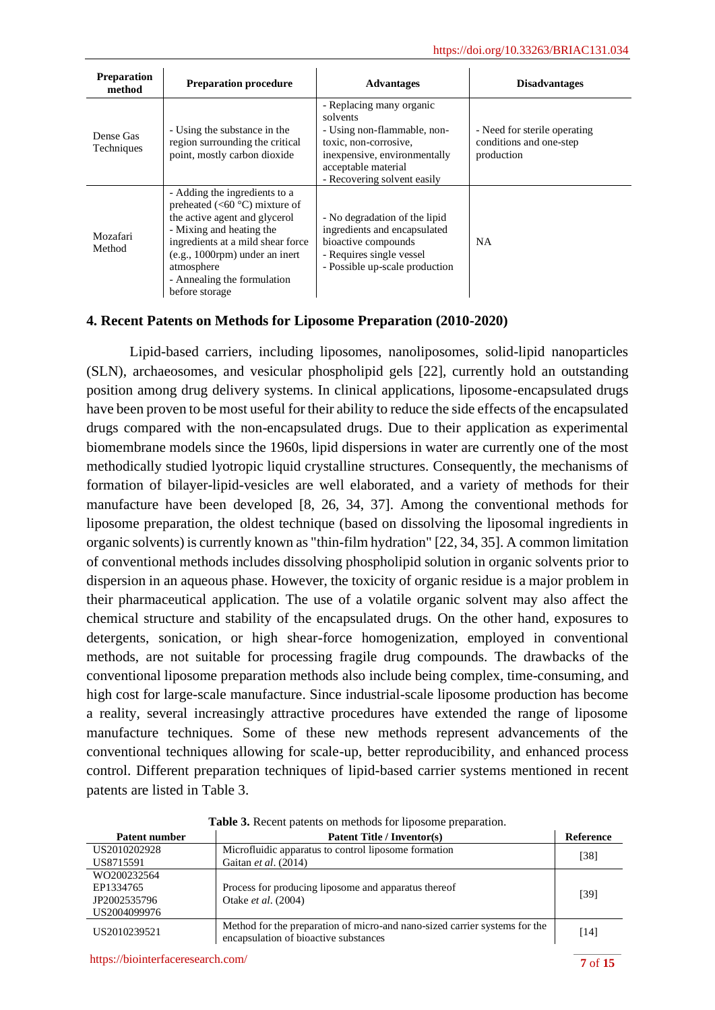| <b>Preparation</b><br>method | <b>Preparation procedure</b>                                                                                                                                                                                                                                                   | <b>Advantages</b>                                                                                                                                                                  | <b>Disadvantages</b>                                                  |
|------------------------------|--------------------------------------------------------------------------------------------------------------------------------------------------------------------------------------------------------------------------------------------------------------------------------|------------------------------------------------------------------------------------------------------------------------------------------------------------------------------------|-----------------------------------------------------------------------|
| Dense Gas<br>Techniques      | - Using the substance in the<br>region surrounding the critical<br>point, mostly carbon dioxide                                                                                                                                                                                | - Replacing many organic<br>solvents<br>- Using non-flammable, non-<br>toxic, non-corrosive,<br>inexpensive, environmentally<br>acceptable material<br>- Recovering solvent easily | - Need for sterile operating<br>conditions and one-step<br>production |
| Mozafari<br>Method           | - Adding the ingredients to a<br>preheated (<60 $^{\circ}$ C) mixture of<br>the active agent and glycerol<br>- Mixing and heating the<br>ingredients at a mild shear force<br>$(e.g., 1000$ rpm) under an inert<br>atmosphere<br>- Annealing the formulation<br>before storage | - No degradation of the lipid<br>ingredients and encapsulated<br>bioactive compounds<br>- Requires single vessel<br>- Possible up-scale production                                 | NA.                                                                   |

## **4. Recent Patents on Methods for Liposome Preparation (2010-2020)**

Lipid-based carriers, including liposomes, nanoliposomes, solid-lipid nanoparticles (SLN), archaeosomes, and vesicular phospholipid gels [22], currently hold an outstanding position among drug delivery systems. In clinical applications, liposome-encapsulated drugs have been proven to be most useful for their ability to reduce the side effects of the encapsulated drugs compared with the non-encapsulated drugs. Due to their application as experimental biomembrane models since the 1960s, lipid dispersions in water are currently one of the most methodically studied lyotropic liquid crystalline structures. Consequently, the mechanisms of formation of bilayer-lipid-vesicles are well elaborated, and a variety of methods for their manufacture have been developed [8, 26, 34, 37]. Among the conventional methods for liposome preparation, the oldest technique (based on dissolving the liposomal ingredients in organic solvents) is currently known as "thin-film hydration" [22, 34, 35]. A common limitation of conventional methods includes dissolving phospholipid solution in organic solvents prior to dispersion in an aqueous phase. However, the toxicity of organic residue is a major problem in their pharmaceutical application. The use of a volatile organic solvent may also affect the chemical structure and stability of the encapsulated drugs. On the other hand, exposures to detergents, sonication, or high shear-force homogenization, employed in conventional methods, are not suitable for processing fragile drug compounds. The drawbacks of the conventional liposome preparation methods also include being complex, time-consuming, and high cost for large-scale manufacture. Since industrial-scale liposome production has become a reality, several increasingly attractive procedures have extended the range of liposome manufacture techniques. Some of these new methods represent advancements of the conventional techniques allowing for scale-up, better reproducibility, and enhanced process control. Different preparation techniques of lipid-based carrier systems mentioned in recent patents are listed in Table 3.

| Patent number | Patent Title / Inventor(s)                                                                                          | <b>Reference</b> |
|---------------|---------------------------------------------------------------------------------------------------------------------|------------------|
| US2010202928  | Microfluidic apparatus to control liposome formation                                                                |                  |
| US8715591     | Gaitan et al. (2014)                                                                                                | [38]             |
| WO200232564   |                                                                                                                     |                  |
| EP1334765     | Process for producing liposome and apparatus thereof                                                                | [39]             |
| JP2002535796  | Otake <i>et al.</i> (2004)                                                                                          |                  |
| US2004099976  |                                                                                                                     |                  |
| US2010239521  | Method for the preparation of micro-and nano-sized carrier systems for the<br>encapsulation of bioactive substances | [14]             |

**Table 3.** Recent patents on methods for liposome preparation.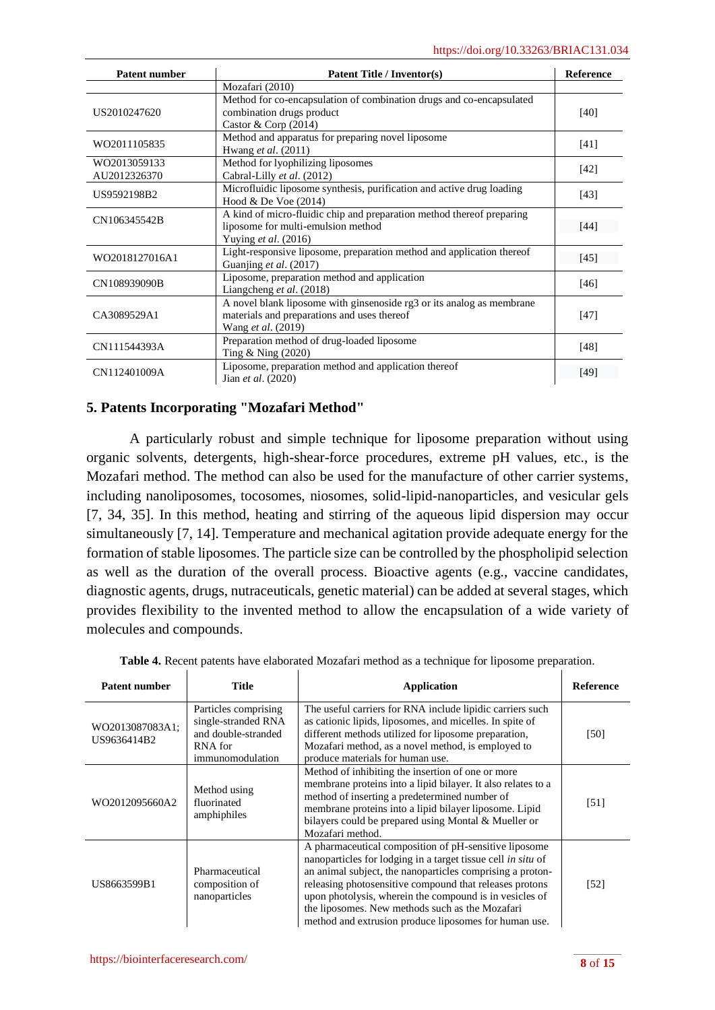| <b>Patent number</b>         | <b>Patent Title / Inventor(s)</b>                                                                                                          |        |
|------------------------------|--------------------------------------------------------------------------------------------------------------------------------------------|--------|
|                              | Mozafari (2010)                                                                                                                            |        |
| US2010247620                 | Method for co-encapsulation of combination drugs and co-encapsulated<br>combination drugs product<br>Castor & Corp $(2014)$                | [40]   |
| WO2011105835                 | Method and apparatus for preparing novel liposome<br>Hwang et al. (2011)                                                                   | $[41]$ |
| WO2013059133<br>AU2012326370 | Method for lyophilizing liposomes<br>Cabral-Lilly et al. (2012)                                                                            | $[42]$ |
| US9592198B2                  | Microfluidic liposome synthesis, purification and active drug loading<br>Hood & De Voe (2014)                                              | [43]   |
| CN106345542B                 | A kind of micro-fluidic chip and preparation method thereof preparing<br>liposome for multi-emulsion method<br>Yuying et al. (2016)        | [44]   |
| WO2018127016A1               | Light-responsive liposome, preparation method and application thereof<br>Guanjing et al. (2017)                                            | [45]   |
| CN108939090B                 | Liposome, preparation method and application<br>Liangcheng et al. (2018)                                                                   | [46]   |
| CA3089529A1                  | A novel blank liposome with ginsenoside rg3 or its analog as membrane<br>materials and preparations and uses thereof<br>Wang et al. (2019) | $[47]$ |
| CN111544393A                 | Preparation method of drug-loaded liposome<br>Ting & Ning (2020)                                                                           | [48]   |
| CN112401009A                 | Liposome, preparation method and application thereof<br>Jian et al. (2020)                                                                 | [49]   |

## **5. Patents Incorporating "Mozafari Method"**

A particularly robust and simple technique for liposome preparation without using organic solvents, detergents, high-shear-force procedures, extreme pH values, etc., is the Mozafari method. The method can also be used for the manufacture of other carrier systems, including nanoliposomes, tocosomes, niosomes, solid-lipid-nanoparticles, and vesicular gels [7, 34, 35]. In this method, heating and stirring of the aqueous lipid dispersion may occur simultaneously [7, 14]. Temperature and mechanical agitation provide adequate energy for the formation of stable liposomes. The particle size can be controlled by the phospholipid selection as well as the duration of the overall process. Bioactive agents (e.g., vaccine candidates, diagnostic agents, drugs, nutraceuticals, genetic material) can be added at several stages, which provides flexibility to the invented method to allow the encapsulation of a wide variety of molecules and compounds.

| <b>Patent number</b>           | <b>Title</b>                                                                                      | <b>Application</b>                                                                                                                                                                                                                                                                                                                                                                                                   | <b>Reference</b>  |
|--------------------------------|---------------------------------------------------------------------------------------------------|----------------------------------------------------------------------------------------------------------------------------------------------------------------------------------------------------------------------------------------------------------------------------------------------------------------------------------------------------------------------------------------------------------------------|-------------------|
| WO2013087083A1;<br>US9636414B2 | Particles comprising<br>single-stranded RNA<br>and double-stranded<br>RNA for<br>immunomodulation | The useful carriers for RNA include lipidic carriers such<br>as cationic lipids, liposomes, and micelles. In spite of<br>different methods utilized for liposome preparation,<br>Mozafari method, as a novel method, is employed to<br>produce materials for human use.                                                                                                                                              | [50]              |
| WO2012095660A2                 | Method using<br>fluorinated<br>amphiphiles                                                        | Method of inhibiting the insertion of one or more<br>membrane proteins into a lipid bilayer. It also relates to a<br>method of inserting a predetermined number of<br>membrane proteins into a lipid bilayer liposome. Lipid<br>bilayers could be prepared using Montal & Mueller or<br>Mozafari method.                                                                                                             | [51]              |
| US8663599B1                    | Pharmaceutical<br>composition of<br>nanoparticles                                                 | A pharmaceutical composition of pH-sensitive liposome<br>nanoparticles for lodging in a target tissue cell in situ of<br>an animal subject, the nanoparticles comprising a proton-<br>releasing photosensitive compound that releases protons<br>upon photolysis, wherein the compound is in vesicles of<br>the liposomes. New methods such as the Mozafari<br>method and extrusion produce liposomes for human use. | $\left[52\right]$ |

| Table 4. Recent patents have elaborated Mozafari method as a technique for liposome preparation |  |  |
|-------------------------------------------------------------------------------------------------|--|--|
|                                                                                                 |  |  |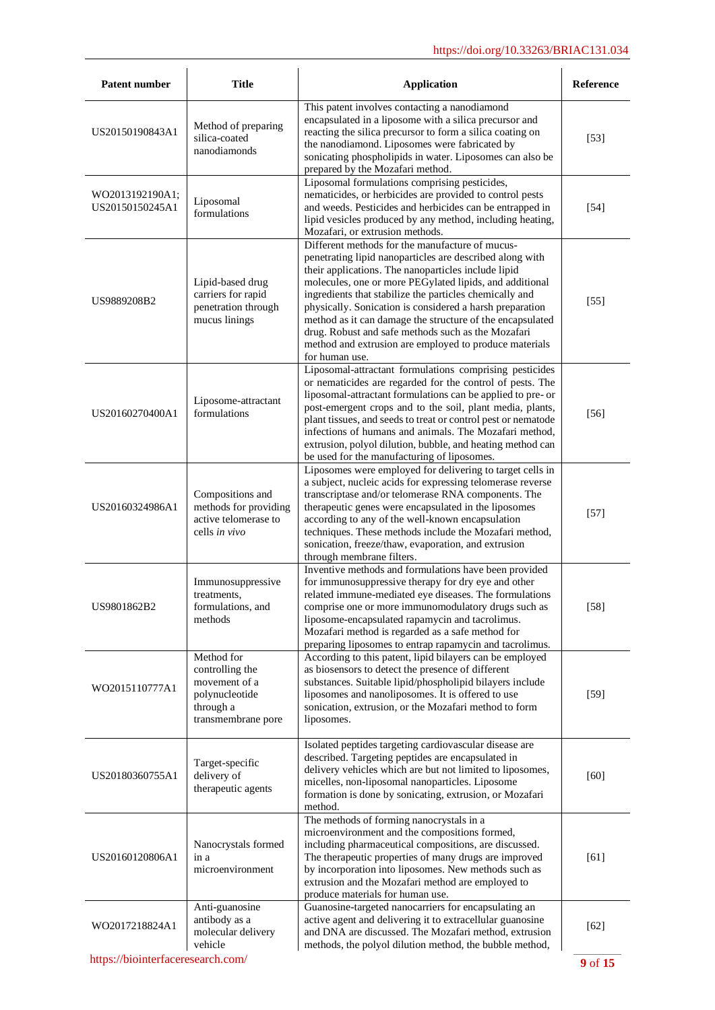| Patent number                                | Title                                                                                               | <b>Application</b>                                                                                                                                                                                                                                                                                                                                                                                                                                                                                                                                  | Reference         |  |
|----------------------------------------------|-----------------------------------------------------------------------------------------------------|-----------------------------------------------------------------------------------------------------------------------------------------------------------------------------------------------------------------------------------------------------------------------------------------------------------------------------------------------------------------------------------------------------------------------------------------------------------------------------------------------------------------------------------------------------|-------------------|--|
| US20150190843A1                              | Method of preparing<br>silica-coated<br>nanodiamonds                                                | This patent involves contacting a nanodiamond<br>encapsulated in a liposome with a silica precursor and<br>reacting the silica precursor to form a silica coating on<br>the nanodiamond. Liposomes were fabricated by<br>sonicating phospholipids in water. Liposomes can also be<br>prepared by the Mozafari method.                                                                                                                                                                                                                               | [53]              |  |
| WO2013192190A1;<br>US20150150245A1           | Liposomal<br>formulations                                                                           | Liposomal formulations comprising pesticides,<br>nematicides, or herbicides are provided to control pests<br>and weeds. Pesticides and herbicides can be entrapped in<br>lipid vesicles produced by any method, including heating,<br>Mozafari, or extrusion methods.                                                                                                                                                                                                                                                                               | $[54]$            |  |
| US9889208B2                                  | Lipid-based drug<br>carriers for rapid<br>penetration through<br>mucus linings                      | Different methods for the manufacture of mucus-<br>penetrating lipid nanoparticles are described along with<br>their applications. The nanoparticles include lipid<br>molecules, one or more PEGylated lipids, and additional<br>ingredients that stabilize the particles chemically and<br>physically. Sonication is considered a harsh preparation<br>method as it can damage the structure of the encapsulated<br>drug. Robust and safe methods such as the Mozafari<br>method and extrusion are employed to produce materials<br>for human use. | $\left[55\right]$ |  |
| US20160270400A1                              | Liposome-attractant<br>formulations                                                                 | Liposomal-attractant formulations comprising pesticides<br>or nematicides are regarded for the control of pests. The<br>liposomal-attractant formulations can be applied to pre- or<br>post-emergent crops and to the soil, plant media, plants,<br>plant tissues, and seeds to treat or control pest or nematode<br>infections of humans and animals. The Mozafari method,<br>extrusion, polyol dilution, bubble, and heating method can<br>be used for the manufacturing of liposomes.                                                            | [56]              |  |
| US20160324986A1                              | Compositions and<br>methods for providing<br>active telomerase to<br>cells in vivo                  | Liposomes were employed for delivering to target cells in<br>a subject, nucleic acids for expressing telomerase reverse<br>transcriptase and/or telomerase RNA components. The<br>therapeutic genes were encapsulated in the liposomes<br>according to any of the well-known encapsulation<br>techniques. These methods include the Mozafari method,<br>sonication, freeze/thaw, evaporation, and extrusion<br>through membrane filters.                                                                                                            | [57]              |  |
| US9801862B2                                  | Immunosuppressive<br>treatments,<br>formulations, and<br>methods                                    | Inventive methods and formulations have been provided<br>for immunosuppressive therapy for dry eye and other<br>related immune-mediated eye diseases. The formulations<br>comprise one or more immunomodulatory drugs such as<br>liposome-encapsulated rapamycin and tacrolimus.<br>Mozafari method is regarded as a safe method for<br>preparing liposomes to entrap rapamycin and tacrolimus.                                                                                                                                                     | $[58]$            |  |
| WO2015110777A1                               | Method for<br>controlling the<br>movement of a<br>polynucleotide<br>through a<br>transmembrane pore | According to this patent, lipid bilayers can be employed<br>as biosensors to detect the presence of different<br>substances. Suitable lipid/phospholipid bilayers include<br>liposomes and nanoliposomes. It is offered to use<br>sonication, extrusion, or the Mozafari method to form<br>liposomes.                                                                                                                                                                                                                                               | $[59]$            |  |
| US20180360755A1                              | Target-specific<br>delivery of<br>therapeutic agents                                                | Isolated peptides targeting cardiovascular disease are<br>described. Targeting peptides are encapsulated in<br>delivery vehicles which are but not limited to liposomes,<br>micelles, non-liposomal nanoparticles. Liposome<br>formation is done by sonicating, extrusion, or Mozafari<br>method.                                                                                                                                                                                                                                                   | [60]              |  |
| US20160120806A1                              | Nanocrystals formed<br>in a<br>microenvironment                                                     | The methods of forming nanocrystals in a<br>microenvironment and the compositions formed,<br>including pharmaceutical compositions, are discussed.<br>The therapeutic properties of many drugs are improved<br>by incorporation into liposomes. New methods such as<br>extrusion and the Mozafari method are employed to<br>produce materials for human use.                                                                                                                                                                                        | [61]              |  |
| WO2017218824A1                               | Anti-guanosine<br>antibody as a<br>molecular delivery<br>vehicle                                    | Guanosine-targeted nanocarriers for encapsulating an<br>active agent and delivering it to extracellular guanosine<br>and DNA are discussed. The Mozafari method, extrusion<br>methods, the polyol dilution method, the bubble method,                                                                                                                                                                                                                                                                                                               | $[62]$            |  |
| https://biointerfaceresearch.com/<br>9 of 15 |                                                                                                     |                                                                                                                                                                                                                                                                                                                                                                                                                                                                                                                                                     |                   |  |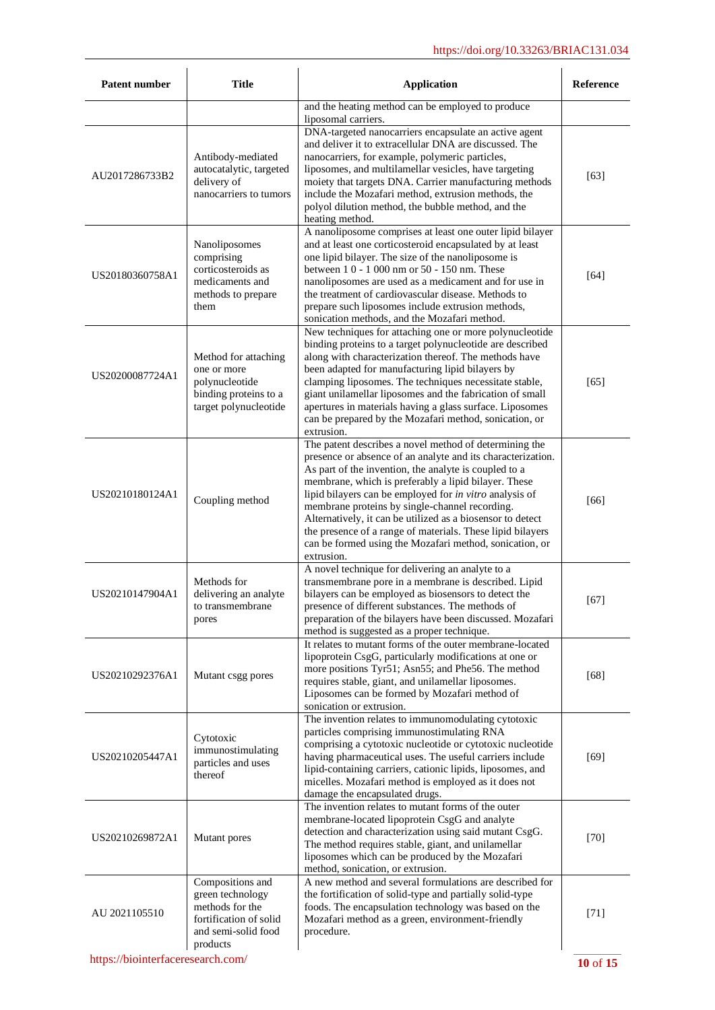| <b>Patent number</b> | <b>Title</b>                                                                                                         | <b>Application</b>                                                                                                                                                                                                                                                                                                                                                                                                                                                                                                                                       | Reference |
|----------------------|----------------------------------------------------------------------------------------------------------------------|----------------------------------------------------------------------------------------------------------------------------------------------------------------------------------------------------------------------------------------------------------------------------------------------------------------------------------------------------------------------------------------------------------------------------------------------------------------------------------------------------------------------------------------------------------|-----------|
|                      |                                                                                                                      | and the heating method can be employed to produce<br>liposomal carriers.                                                                                                                                                                                                                                                                                                                                                                                                                                                                                 |           |
| AU2017286733B2       | Antibody-mediated<br>autocatalytic, targeted<br>delivery of<br>nanocarriers to tumors                                | DNA-targeted nanocarriers encapsulate an active agent<br>and deliver it to extracellular DNA are discussed. The<br>nanocarriers, for example, polymeric particles,<br>liposomes, and multilamellar vesicles, have targeting<br>moiety that targets DNA. Carrier manufacturing methods<br>include the Mozafari method, extrusion methods, the<br>polyol dilution method, the bubble method, and the<br>heating method.                                                                                                                                    | $[63]$    |
| US20180360758A1      | Nanoliposomes<br>comprising<br>corticosteroids as<br>medicaments and<br>methods to prepare<br>them                   | A nanoliposome comprises at least one outer lipid bilayer<br>and at least one corticosteroid encapsulated by at least<br>one lipid bilayer. The size of the nanoliposome is<br>between 10 - 1000 nm or 50 - 150 nm. These<br>nanoliposomes are used as a medicament and for use in<br>the treatment of cardiovascular disease. Methods to<br>prepare such liposomes include extrusion methods,<br>sonication methods, and the Mozafari method.                                                                                                           | $[64]$    |
| US20200087724A1      | Method for attaching<br>one or more<br>polynucleotide<br>binding proteins to a<br>target polynucleotide              | New techniques for attaching one or more polynucleotide<br>binding proteins to a target polynucleotide are described<br>along with characterization thereof. The methods have<br>been adapted for manufacturing lipid bilayers by<br>clamping liposomes. The techniques necessitate stable,<br>giant unilamellar liposomes and the fabrication of small<br>apertures in materials having a glass surface. Liposomes<br>can be prepared by the Mozafari method, sonication, or<br>extrusion.                                                              | [65]      |
| US20210180124A1      | Coupling method                                                                                                      | The patent describes a novel method of determining the<br>presence or absence of an analyte and its characterization.<br>As part of the invention, the analyte is coupled to a<br>membrane, which is preferably a lipid bilayer. These<br>lipid bilayers can be employed for in vitro analysis of<br>membrane proteins by single-channel recording.<br>Alternatively, it can be utilized as a biosensor to detect<br>the presence of a range of materials. These lipid bilayers<br>can be formed using the Mozafari method, sonication, or<br>extrusion. | [66]      |
| US20210147904A1      | Methods for<br>delivering an analyte<br>to transmembrane<br>pores                                                    | A novel technique for delivering an analyte to a<br>transmembrane pore in a membrane is described. Lipid<br>bilayers can be employed as biosensors to detect the<br>presence of different substances. The methods of<br>preparation of the bilayers have been discussed. Mozafari<br>method is suggested as a proper technique.                                                                                                                                                                                                                          | [67]      |
| US20210292376A1      | Mutant csgg pores                                                                                                    | It relates to mutant forms of the outer membrane-located<br>lipoprotein CsgG, particularly modifications at one or<br>more positions Tyr51; Asn55; and Phe56. The method<br>requires stable, giant, and unilamellar liposomes.<br>Liposomes can be formed by Mozafari method of<br>sonication or extrusion.                                                                                                                                                                                                                                              | $[68]$    |
| US20210205447A1      | Cytotoxic<br>immunostimulating<br>particles and uses<br>thereof                                                      | The invention relates to immunomodulating cytotoxic<br>particles comprising immunostimulating RNA<br>comprising a cytotoxic nucleotide or cytotoxic nucleotide<br>having pharmaceutical uses. The useful carriers include<br>lipid-containing carriers, cationic lipids, liposomes, and<br>micelles. Mozafari method is employed as it does not<br>damage the encapsulated drugs.                                                                                                                                                                        | $[69]$    |
| US20210269872A1      | Mutant pores                                                                                                         | The invention relates to mutant forms of the outer<br>membrane-located lipoprotein CsgG and analyte<br>detection and characterization using said mutant CsgG.<br>The method requires stable, giant, and unilamellar<br>liposomes which can be produced by the Mozafari<br>method, sonication, or extrusion.                                                                                                                                                                                                                                              | [70]      |
| AU 2021105510        | Compositions and<br>green technology<br>methods for the<br>fortification of solid<br>and semi-solid food<br>products | A new method and several formulations are described for<br>the fortification of solid-type and partially solid-type<br>foods. The encapsulation technology was based on the<br>Mozafari method as a green, environment-friendly<br>procedure.                                                                                                                                                                                                                                                                                                            | $[71]$    |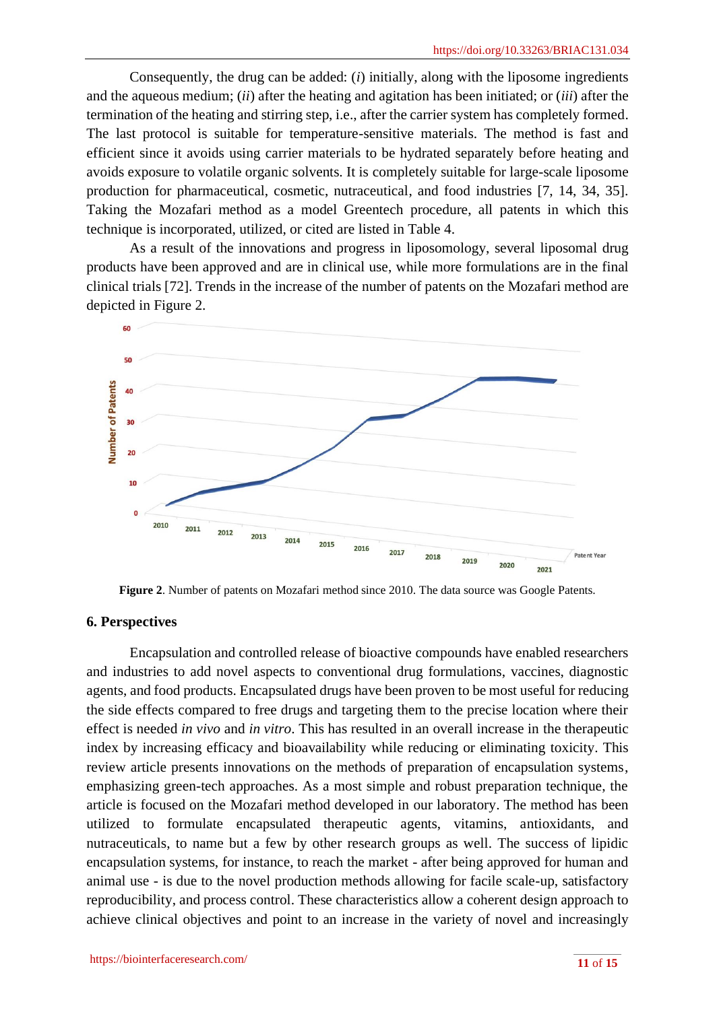Consequently, the drug can be added: (*i*) initially, along with the liposome ingredients and the aqueous medium; (*ii*) after the heating and agitation has been initiated; or (*iii*) after the termination of the heating and stirring step, i.e., after the carrier system has completely formed. The last protocol is suitable for temperature-sensitive materials. The method is fast and efficient since it avoids using carrier materials to be hydrated separately before heating and avoids exposure to volatile organic solvents. It is completely suitable for large-scale liposome production for pharmaceutical, cosmetic, nutraceutical, and food industries [7, 14, 34, 35]. Taking the Mozafari method as a model Greentech procedure, all patents in which this technique is incorporated, utilized, or cited are listed in Table 4.

As a result of the innovations and progress in liposomology, several liposomal drug products have been approved and are in clinical use, while more formulations are in the final clinical trials [72]. Trends in the increase of the number of patents on the Mozafari method are depicted in Figure 2.



**Figure 2**. Number of patents on Mozafari method since 2010. The data source was Google Patents.

## **6. Perspectives**

Encapsulation and controlled release of bioactive compounds have enabled researchers and industries to add novel aspects to conventional drug formulations, vaccines, diagnostic agents, and food products. Encapsulated drugs have been proven to be most useful for reducing the side effects compared to free drugs and targeting them to the precise location where their effect is needed *in vivo* and *in vitro*. This has resulted in an overall increase in the therapeutic index by increasing efficacy and bioavailability while reducing or eliminating toxicity. This review article presents innovations on the methods of preparation of encapsulation systems, emphasizing green-tech approaches. As a most simple and robust preparation technique, the article is focused on the Mozafari method developed in our laboratory. The method has been utilized to formulate encapsulated therapeutic agents, vitamins, antioxidants, and nutraceuticals, to name but a few by other research groups as well. The success of lipidic encapsulation systems, for instance, to reach the market - after being approved for human and animal use - is due to the novel production methods allowing for facile scale-up, satisfactory reproducibility, and process control. These characteristics allow a coherent design approach to achieve clinical objectives and point to an increase in the variety of novel and increasingly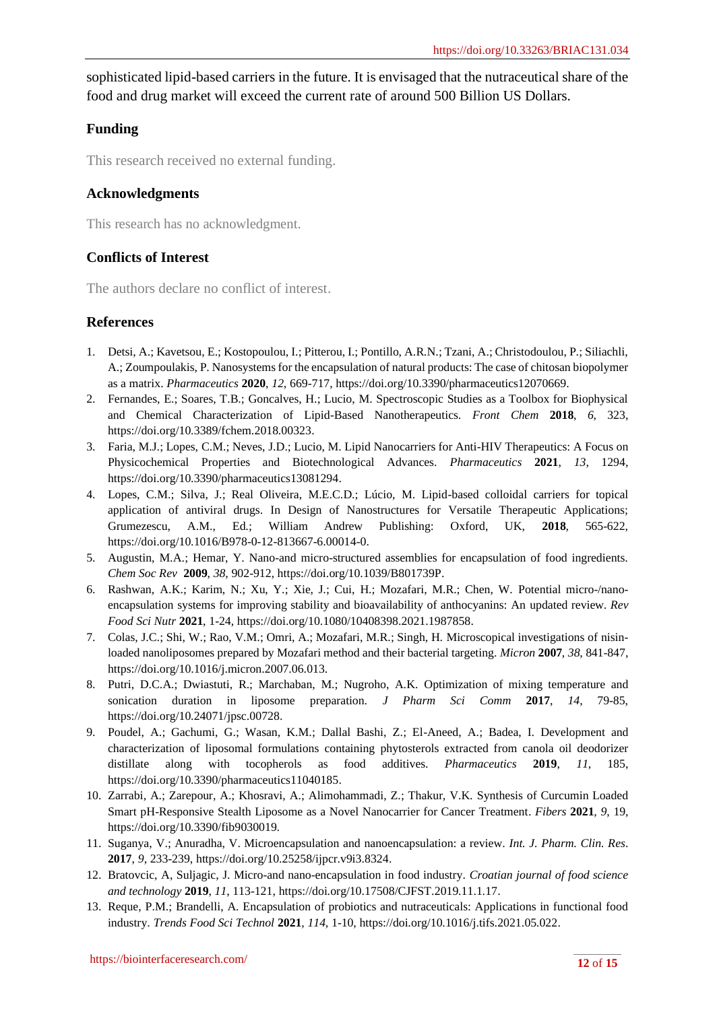sophisticated lipid-based carriers in the future. It is envisaged that the nutraceutical share of the food and drug market will exceed the current rate of around 500 Billion US Dollars.

# **Funding**

This research received no external funding.

## **Acknowledgments**

This research has no acknowledgment.

## **Conflicts of Interest**

The authors declare no conflict of interest.

#### **References**

- 1. Detsi, A.; Kavetsou, E.; Kostopoulou, I.; Pitterou, I.; Pontillo, A.R.N.; Tzani, A.; Christodoulou, P.; Siliachli, A.; Zoumpoulakis, P. Nanosystems for the encapsulation of natural products: The case of chitosan biopolymer as a matrix. *Pharmaceutics* **2020**, *12*, 669-717[, https://doi.org/10.3390/pharmaceutics12070669.](https://doi.org/10.3390/pharmaceutics12070669)
- 2. Fernandes, E.; Soares, T.B.; Goncalves, H.; Lucio, M. Spectroscopic Studies as a Toolbox for Biophysical and Chemical Characterization of Lipid-Based Nanotherapeutics. *Front Chem* **2018**, *6*, 323, [https://doi.org/10.3389/fchem.2018.00323.](https://doi.org/10.3389/fchem.2018.00323)
- 3. Faria, M.J.; Lopes, C.M.; Neves, J.D.; Lucio, M. Lipid Nanocarriers for Anti-HIV Therapeutics: A Focus on Physicochemical Properties and Biotechnological Advances. *Pharmaceutics* **2021**, *13*, 1294, [https://doi.org/10.3390/pharmaceutics13081294.](https://doi.org/10.3390/pharmaceutics13081294)
- 4. Lopes, C.M.; Silva, J.; Real Oliveira, M.E.C.D.; Lúcio, M. Lipid-based colloidal carriers for topical application of antiviral drugs. In Design of Nanostructures for Versatile Therapeutic Applications; Grumezescu, A.M., Ed.; William Andrew Publishing: Oxford, UK, **2018**, 565-622, [https://doi.org/10.1016/B978-0-12-813667-6.00014-0.](https://doi.org/10.1016/B978-0-12-813667-6.00014-0)
- 5. Augustin, M.A.; Hemar, Y. Nano-and micro-structured assemblies for encapsulation of food ingredients. *Chem Soc Rev* **2009**, *38*, 902-912, [https://doi.org/10.1039/B801739P.](https://doi.org/10.1039/B801739P)
- 6. Rashwan, A.K.; Karim, N.; Xu, Y.; Xie, J.; Cui, H.; Mozafari, M.R.; Chen, W. Potential micro-/nanoencapsulation systems for improving stability and bioavailability of anthocyanins: An updated review. *Rev Food Sci Nutr* **2021**, 1-24, [https://doi.org/10.1080/10408398.2021.1987858.](https://doi.org/10.1080/10408398.2021.1987858)
- 7. Colas, J.C.; Shi, W.; Rao, V.M.; Omri, A.; Mozafari, M.R.; Singh, H. Microscopical investigations of nisinloaded nanoliposomes prepared by Mozafari method and their bacterial targeting. *Micron* **2007**, *38*, 841-847, [https://doi.org/10.1016/j.micron.2007.06.013.](https://doi.org/10.1016/j.micron.2007.06.013)
- 8. Putri, D.C.A.; Dwiastuti, R.; Marchaban, M.; Nugroho, A.K. Optimization of mixing temperature and sonication duration in liposome preparation. *J Pharm Sci Comm* **2017**, *14*, 79-85, [https://doi.org/10.24071/jpsc.00728.](https://doi.org/10.24071/jpsc.00728)
- 9. Poudel, A.; Gachumi, G.; Wasan, K.M.; Dallal Bashi, Z.; El-Aneed, A.; Badea, I. Development and characterization of liposomal formulations containing phytosterols extracted from canola oil deodorizer distillate along with tocopherols as food additives. *Pharmaceutics* **2019**, *11*, 185, [https://doi.org/10.3390/pharmaceutics11040185.](https://doi.org/10.3390/pharmaceutics11040185)
- 10. Zarrabi, A.; Zarepour, A.; Khosravi, A.; Alimohammadi, Z.; Thakur, V.K. Synthesis of Curcumin Loaded Smart pH-Responsive Stealth Liposome as a Novel Nanocarrier for Cancer Treatment. *Fibers* **2021**, *9*, 19, [https://doi.org/10.3390/fib9030019.](https://doi.org/10.3390/fib9030019)
- 11. Suganya, V.; Anuradha, V. Microencapsulation and nanoencapsulation: a review. *Int. J. Pharm. Clin. Res*. **2017**, *9*, 233-239, [https://doi.org/10.25258/ijpcr.v9i3.8324.](https://doi.org/10.25258/ijpcr.v9i3.8324)
- 12. Bratovcic, A, Suljagic, J. Micro-and nano-encapsulation in food industry. *Croatian journal of food science and technology* **2019**, *11*, 113-121, [https://doi.org/10.17508/CJFST.2019.11.1.17.](https://doi.org/10.17508/CJFST.2019.11.1.17)
- 13. Reque, P.M.; Brandelli, A. Encapsulation of probiotics and nutraceuticals: Applications in functional food industry. *Trends Food Sci Technol* **2021**, *114*, 1-10, [https://doi.org/10.1016/j.tifs.2021.05.022.](https://doi.org/10.1016/j.tifs.2021.05.022)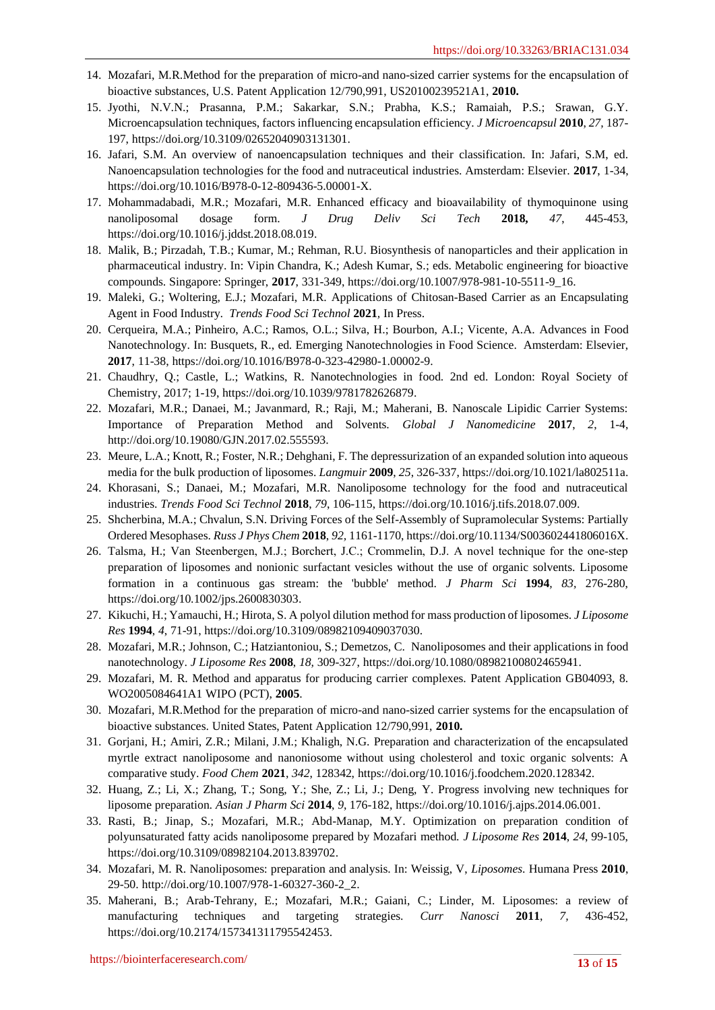- 14. Mozafari, M.R.Method for the preparation of micro-and nano-sized carrier systems for the encapsulation of bioactive substances, U.S. Patent Application 12/790,991, US20100239521A1, **2010.**
- 15. Jyothi, N.V.N.; Prasanna, P.M.; Sakarkar, S.N.; Prabha, K.S.; Ramaiah, P.S.; Srawan, G.Y. Microencapsulation techniques, factors influencing encapsulation efficiency. *J Microencapsul* **2010**, *27,* 187- 197, [https://doi.org/10.3109/02652040903131301.](https://doi.org/10.3109/02652040903131301)
- 16. Jafari, S.M. An overview of nanoencapsulation techniques and their classification. In: Jafari, S.M, ed. Nanoencapsulation technologies for the food and nutraceutical industries. Amsterdam: Elsevier. **2017**, 1-34, [https://doi.org/10.1016/B978-0-12-809436-5.00001-X.](https://doi.org/10.1016/B978-0-12-809436-5.00001-X)
- 17. Mohammadabadi, M.R.; Mozafari, M.R. Enhanced efficacy and bioavailability of thymoquinone using nanoliposomal dosage form. *J Drug Deliv Sci Tech* **2018,** *47*, 445-453, https://doi.org/10.1016/j.jddst.2018.08.019.
- 18. Malik, B.; Pirzadah, T.B.; Kumar, M.; Rehman, R.U. Biosynthesis of nanoparticles and their application in pharmaceutical industry. In: Vipin Chandra, K.; Adesh Kumar, S.; eds. Metabolic engineering for bioactive compounds. Singapore: Springer, **2017**, 331-349[, https://doi.org/10.1007/978-981-10-5511-9\\_16.](https://doi.org/10.1007/978-981-10-5511-9_16)
- 19. Maleki, G.; Woltering, E.J.; Mozafari, M.R. Applications of Chitosan-Based Carrier as an Encapsulating Agent in Food Industry*. Trends Food Sci Technol* **2021***,* In Press.
- 20. Cerqueira, M.A.; Pinheiro, A.C.; Ramos, O.L.; Silva, H.; Bourbon, A.I.; Vicente, A.A. Advances in Food Nanotechnology. In: Busquets, R., ed. Emerging Nanotechnologies in Food Science. Amsterdam: Elsevier, **2017**, 11-38, [https://doi.org/10.1016/B978-0-323-42980-1.00002-9.](https://doi.org/10.1016/B978-0-323-42980-1.00002-9)
- 21. Chaudhry, Q.; Castle, L.; Watkins, R. Nanotechnologies in food. 2nd ed. London: Royal Society of Chemistry, 2017; 1-19, [https://doi.org/10.1039/9781782626879.](https://doi.org/10.1039/9781782626879)
- 22. Mozafari, M.R.; Danaei, M.; Javanmard, R.; Raji, M.; Maherani, B. Nanoscale Lipidic Carrier Systems: Importance of Preparation Method and Solvents. *Global J Nanomedicine* **2017**, *2*, 1-4, [http://doi.org/10.19080/GJN.2017.02.555593.](http://doi.org/10.19080/GJN.2017.02.555593)
- 23. Meure, L.A.; Knott, R.; Foster, N.R.; Dehghani, F. The depressurization of an expanded solution into aqueous media for the bulk production of liposomes. *Langmuir* **2009**, *25*, 326-337[, https://doi.org/10.1021/la802511a.](https://doi.org/10.1021/la802511a)
- 24. Khorasani, S.; Danaei, M.; Mozafari, M.R. Nanoliposome technology for the food and nutraceutical industries. *Trends Food Sci Technol* **2018**, *79*, 106-115, [https://doi.org/10.1016/j.tifs.2018.07.009.](https://doi.org/10.1016/j.tifs.2018.07.009)
- 25. Shcherbina, M.A.; Chvalun, S.N. Driving Forces of the Self-Assembly of Supramolecular Systems: Partially Ordered Mesophases. *Russ J Phys Chem* **2018**, *92,* 1161-1170[, https://doi.org/10.1134/S003602441806016X.](https://doi.org/10.1134/S003602441806016X)
- 26. Talsma, H.; Van Steenbergen, M.J.; Borchert, J.C.; Crommelin, D.J. A novel technique for the one‐step preparation of liposomes and nonionic surfactant vesicles without the use of organic solvents. Liposome formation in a continuous gas stream: the 'bubble' method. *J Pharm Sci* **1994***, 83,* 276-280, [https://doi.org/10.1002/jps.2600830303.](https://doi.org/10.1002/jps.2600830303)
- 27. Kikuchi, H.; Yamauchi, H.; Hirota, S. A polyol dilution method for mass production of liposomes. *J Liposome Res* **1994**, *4*, 71-91, [https://doi.org/10.3109/08982109409037030.](https://doi.org/10.3109/08982109409037030)
- 28. Mozafari, M.R.; Johnson, C.; Hatziantoniou, S.; Demetzos, C. Nanoliposomes and their applications in food nanotechnology. *J Liposome Res* **2008**, *18,* 309-327, [https://doi.org/10.1080/08982100802465941.](https://doi.org/10.1080/08982100802465941)
- 29. Mozafari, M. R. Method and apparatus for producing carrier complexes. Patent Application GB04093, 8. WO2005084641A1 WIPO (PCT), **2005**.
- 30. Mozafari, M.R.Method for the preparation of micro-and nano-sized carrier systems for the encapsulation of bioactive substances. United States, Patent Application 12/790,991, **2010.**
- 31. Gorjani, H.; Amiri, Z.R.; Milani, J.M.; Khaligh, N.G. Preparation and characterization of the encapsulated myrtle extract nanoliposome and nanoniosome without using cholesterol and toxic organic solvents: A comparative study. *Food Chem* **2021**, *342*, 128342, [https://doi.org/10.1016/j.foodchem.2020.128342.](https://doi.org/10.1016/j.foodchem.2020.128342)
- 32. Huang, Z.; Li, X.; Zhang, T.; Song, Y.; She, Z.; Li, J.; Deng, Y. Progress involving new techniques for liposome preparation*. Asian J Pharm Sci* **2014**, *9*, 176-182, [https://doi.org/10.1016/j.ajps.2014.06.001.](https://doi.org/10.1016/j.ajps.2014.06.001)
- 33. Rasti, B.; Jinap, S.; Mozafari, M.R.; Abd-Manap, M.Y. Optimization on preparation condition of polyunsaturated fatty acids nanoliposome prepared by Mozafari method. *J Liposome Res* **2014**, *24*, 99-105, [https://doi.org/10.3109/08982104.2013.839702.](https://doi.org/10.3109/08982104.2013.839702)
- 34. Mozafari, M. R. Nanoliposomes: preparation and analysis. In: Weissig, V, *Liposomes*. Humana Press **2010**, 29-50. [http://doi.org/10.1007/978-1-60327-360-2\\_2.](http://doi.org/10.1007/978-1-60327-360-2_2)
- 35. Maherani, B.; Arab-Tehrany, E.; Mozafari, M.R.; Gaiani, C.; Linder, M. Liposomes: a review of manufacturing techniques and targeting strategies. *Curr Nanosci* **2011**, *7,* 436-452, [https://doi.org/10.2174/157341311795542453.](https://doi.org/10.2174/157341311795542453)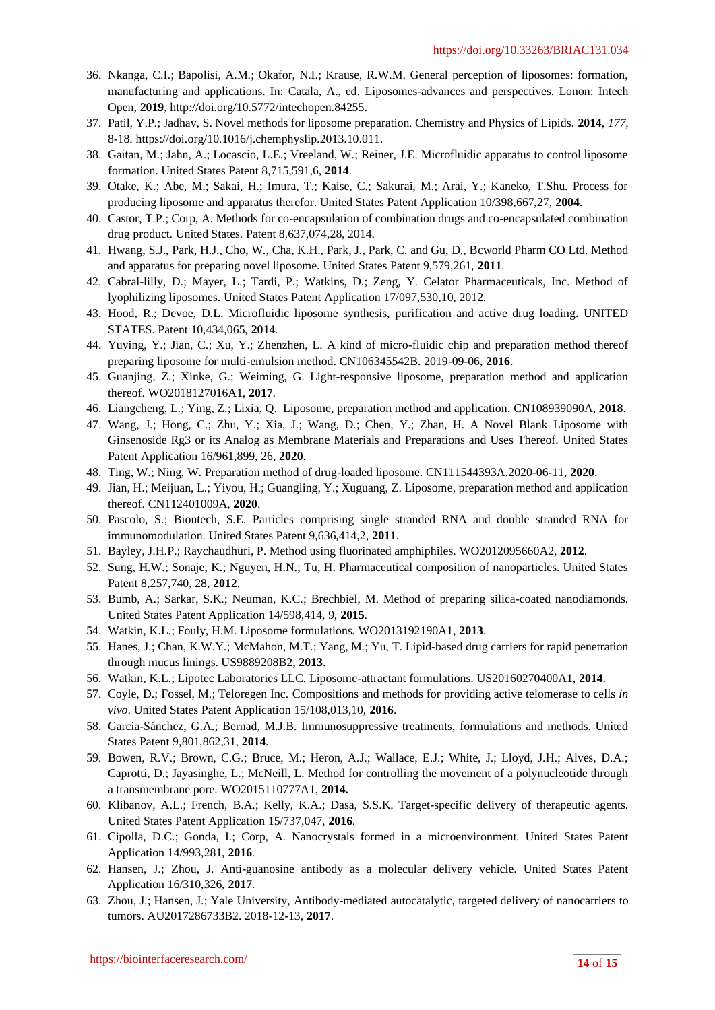- 36. Nkanga, C.I.; Bapolisi, A.M.; Okafor, N.I.; Krause, R.W.M. General perception of liposomes: formation, manufacturing and applications. In: Catala, A., ed. Liposomes-advances and perspectives. Lonon: Intech Open, **2019**[, http://doi.org/10.5772/intechopen.84255.](http://doi.org/10.5772/intechopen.84255)
- 37. Patil, Y.P.; Jadhav, S. Novel methods for liposome preparation. Chemistry and Physics of Lipids. **2014**, *177,* 8-18. [https://doi.org/10.1016/j.chemphyslip.2013.10.011.](https://doi.org/10.1016/j.chemphyslip.2013.10.011)
- 38. Gaitan, M.; Jahn, A.; Locascio, L.E.; Vreeland, W.; Reiner, J.E. Microfluidic apparatus to control liposome formation. United States Patent 8,715,591,6, **2014**.
- 39. Otake, K.; Abe, M.; Sakai, H.; Imura, T.; Kaise, C.; Sakurai, M.; Arai, Y.; Kaneko, T.Shu. Process for producing liposome and apparatus therefor. United States Patent Application 10/398,667,27, **2004**.
- 40. Castor, T.P.; Corp, A. Methods for co-encapsulation of combination drugs and co-encapsulated combination drug product. United States. Patent 8,637,074,28, 2014.
- 41. Hwang, S.J., Park, H.J., Cho, W., Cha, K.H., Park, J., Park, C. and Gu, D., Bcworld Pharm CO Ltd. Method and apparatus for preparing novel liposome. United States Patent 9,579,261, **2011**.
- 42. Cabral-lilly, D.; Mayer, L.; Tardi, P.; Watkins, D.; Zeng, Y. Celator Pharmaceuticals, Inc. Method of lyophilizing liposomes. United States Patent Application 17/097,530,10, 2012.
- 43. Hood, R.; Devoe, D.L. Microfluidic liposome synthesis, purification and active drug loading. UNITED STATES. Patent 10,434,065, **2014**.
- 44. Yuying, Y.; Jian, C.; Xu, Y.; Zhenzhen, L. A kind of micro-fluidic chip and preparation method thereof preparing liposome for multi-emulsion method. CN106345542B. 2019-09-06, **2016**.
- 45. Guanjing, Z.; Xinke, G.; Weiming, G. Light-responsive liposome, preparation method and application thereof. WO2018127016A1, **2017**.
- 46. Liangcheng, L.; Ying, Z.; Lixia, Q. Liposome, preparation method and application. CN108939090A, **2018**.
- 47. Wang, J.; Hong, C.; Zhu, Y.; Xia, J.; Wang, D.; Chen, Y.; Zhan, H. A Novel Blank Liposome with Ginsenoside Rg3 or its Analog as Membrane Materials and Preparations and Uses Thereof. United States Patent Application 16/961,899, 26, **2020**.
- 48. Ting, W.; Ning, W. Preparation method of drug-loaded liposome. CN111544393A.2020-06-11, **2020**.
- 49. Jian, H.; Meijuan, L.; Yiyou, H.; Guangling, Y.; Xuguang, Z. Liposome, preparation method and application thereof. CN112401009A, **2020**.
- 50. Pascolo, S.; Biontech, S.E. Particles comprising single stranded RNA and double stranded RNA for immunomodulation. United States Patent 9,636,414,2, **2011**.
- 51. Bayley, J.H.P.; Raychaudhuri, P. Method using fluorinated amphiphiles. WO2012095660A2, **2012**.
- 52. Sung, H.W.; Sonaje, K.; Nguyen, H.N.; Tu, H. Pharmaceutical composition of nanoparticles. United States Patent 8,257,740, 28, **2012**.
- 53. Bumb, A.; Sarkar, S.K.; Neuman, K.C.; Brechbiel, M. Method of preparing silica-coated nanodiamonds. United States Patent Application 14/598,414, 9, **2015**.
- 54. Watkin, K.L.; Fouly, H.M. Liposome formulations. WO2013192190A1, **2013**.
- 55. Hanes, J.; Chan, K.W.Y.; McMahon, M.T.; Yang, M.; Yu, T. Lipid-based drug carriers for rapid penetration through mucus linings. US9889208B2, **2013**.
- 56. Watkin, K.L.; Lipotec Laboratories LLC. Liposome-attractant formulations. US20160270400A1, **2014**.
- 57. Coyle, D.; Fossel, M.; Teloregen Inc. Compositions and methods for providing active telomerase to cells *in vivo*. United States Patent Application 15/108,013,10, **2016**.
- 58. Garcia-Sánchez, G.A.; Bernad, M.J.B. Immunosuppressive treatments, formulations and methods. United States Patent 9,801,862,31, **2014**.
- 59. Bowen, R.V.; Brown, C.G.; Bruce, M.; Heron, A.J.; Wallace, E.J.; White, J.; Lloyd, J.H.; Alves, D.A.; Caprotti, D.; Jayasinghe, L.; McNeill, L. Method for controlling the movement of a polynucleotide through a transmembrane pore. WO2015110777A1, **2014.**
- 60. Klibanov, A.L.; French, B.A.; Kelly, K.A.; Dasa, S.S.K. Target-specific delivery of therapeutic agents. United States Patent Application 15/737,047, **2016**.
- 61. Cipolla, D.C.; Gonda, I.; Corp, A. Nanocrystals formed in a microenvironment. United States Patent Application 14/993,281, **2016**.
- 62. Hansen, J.; Zhou, J. Anti-guanosine antibody as a molecular delivery vehicle. United States Patent Application 16/310,326, **2017**.
- 63. Zhou, J.; Hansen, J.; Yale University, Antibody-mediated autocatalytic, targeted delivery of nanocarriers to tumors. AU2017286733B2. 2018-12-13, **2017**.